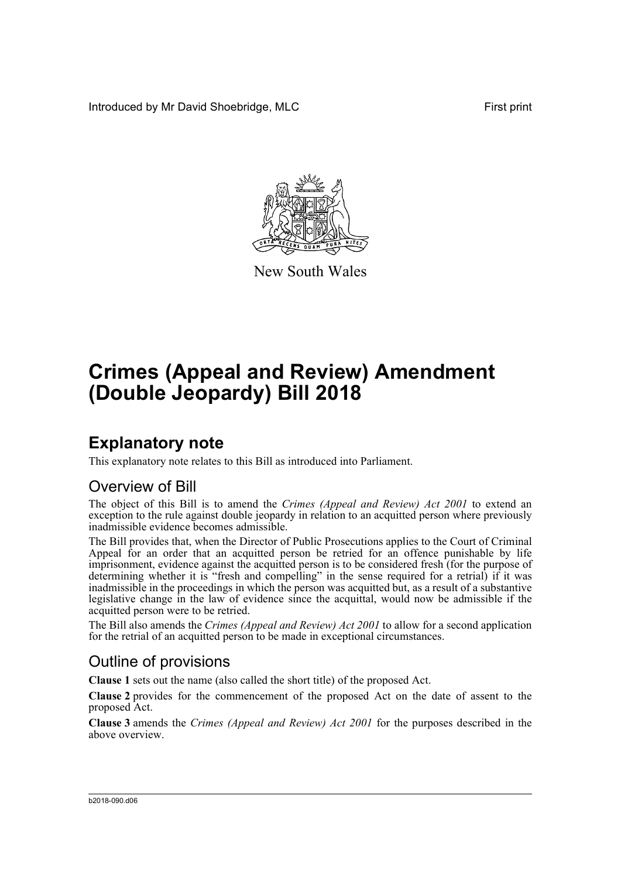Introduced by Mr David Shoebridge, MLC First print



New South Wales

# **Crimes (Appeal and Review) Amendment (Double Jeopardy) Bill 2018**

### **Explanatory note**

This explanatory note relates to this Bill as introduced into Parliament.

### Overview of Bill

The object of this Bill is to amend the *Crimes (Appeal and Review) Act 2001* to extend an exception to the rule against double jeopardy in relation to an acquitted person where previously inadmissible evidence becomes admissible.

The Bill provides that, when the Director of Public Prosecutions applies to the Court of Criminal Appeal for an order that an acquitted person be retried for an offence punishable by life imprisonment, evidence against the acquitted person is to be considered fresh (for the purpose of determining whether it is "fresh and compelling" in the sense required for a retrial) if it was inadmissible in the proceedings in which the person was acquitted but, as a result of a substantive legislative change in the law of evidence since the acquittal, would now be admissible if the acquitted person were to be retried.

The Bill also amends the *Crimes (Appeal and Review) Act 2001* to allow for a second application for the retrial of an acquitted person to be made in exceptional circumstances.

### Outline of provisions

**Clause 1** sets out the name (also called the short title) of the proposed Act.

**Clause 2** provides for the commencement of the proposed Act on the date of assent to the proposed Act.

**Clause 3** amends the *Crimes (Appeal and Review) Act 2001* for the purposes described in the above overview.

#### b2018-090.d06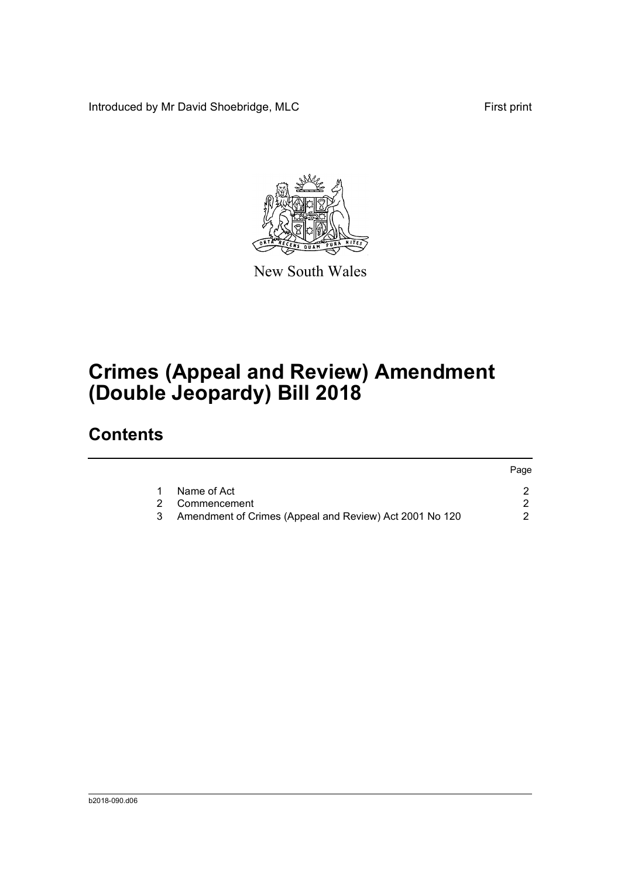Introduced by Mr David Shoebridge, MLC First print



New South Wales

# **Crimes (Appeal and Review) Amendment (Double Jeopardy) Bill 2018**

## **Contents**

|    |                                                         | Page |
|----|---------------------------------------------------------|------|
| -1 | Name of Act                                             |      |
|    | 2 Commencement                                          |      |
| 3  | Amendment of Crimes (Appeal and Review) Act 2001 No 120 |      |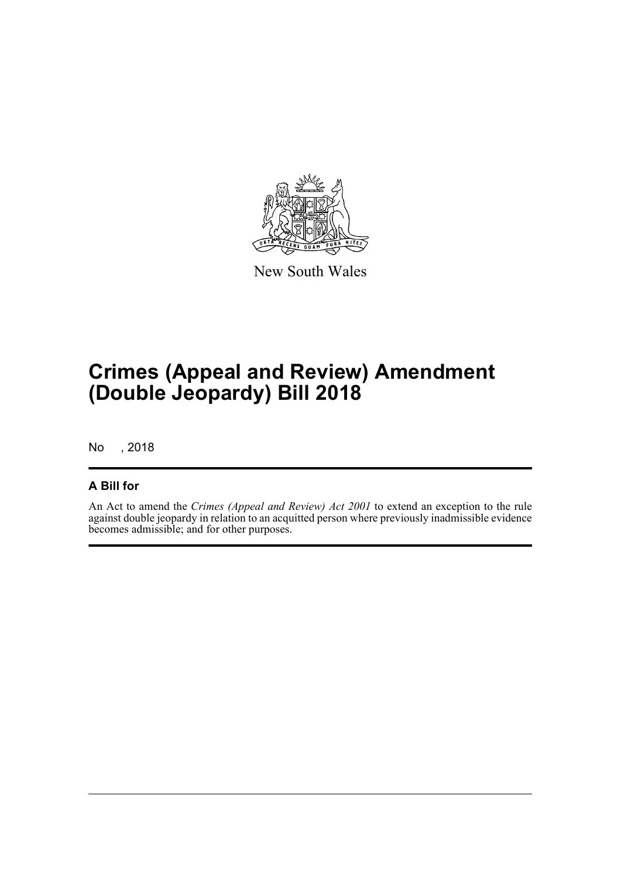

New South Wales

## **Crimes (Appeal and Review) Amendment (Double Jeopardy) Bill 2018**

No , 2018

### **A Bill for**

An Act to amend the *Crimes (Appeal and Review) Act 2001* to extend an exception to the rule against double jeopardy in relation to an acquitted person where previously inadmissible evidence becomes admissible; and for other purposes.